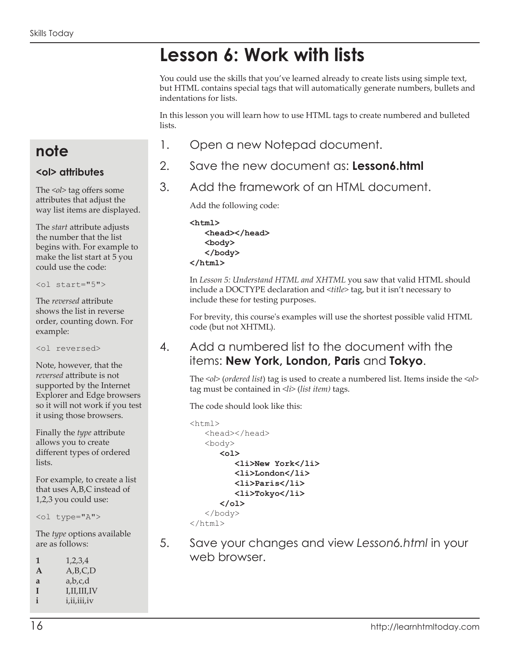# **Lesson 6: Work with lists**

You could use the skills that you've learned already to create lists using simple text, but HTML contains special tags that will automatically generate numbers, bullets and indentations for lists.

In this lesson you will learn how to use HTML tags to create numbered and bulleted lists.

- 1. Open a new Notepad document.
- 2. Save the new document as: **Lesson6.html**
- 3. Add the framework of an HTML document.

Add the following code:

**<html> <head></head> <body> </body> </html>**

In *Lesson 5: Understand HTML and XHTML* you saw that valid HTML should include a DOCTYPE declaration and *<title>* tag, but it isn't necessary to include these for testing purposes.

For brevity, this course's examples will use the shortest possible valid HTML code (but not XHTML).

#### 4. Add a numbered list to the document with the items: **New York, London, Paris** and **Tokyo**.

The *<ol>* (*ordered list*) tag is used to create a numbered list. Items inside the *<ol>* tag must be contained in *<li>* (*list item)* tags.

The code should look like this:

```
<html>
    <head></head>
    <body>
       <ol>
           <li>New York</li>
           <li>London</li>
           <li>Paris</li>
           <li>Tokyo</li>
       </ol>
    </body>
</html>
```
5. Save your changes and view *Lesson6.html* in your web browser.

## **note**

#### **<ol> attributes**

The <ol> tag offers some attributes that adjust the way list items are displayed.

The *start* attribute adjusts the number that the list begins with. For example to make the list start at 5 you could use the code:

<ol start="5">

The *reversed* attribute shows the list in reverse order, counting down. For example:

<ol reversed>

Note, however, that the *reversed* attribute is not supported by the Internet Explorer and Edge browsers so it will not work if you test it using those browsers.

Finally the *type* attribute allows you to create different types of ordered lists.

For example, to create a list that uses A,B,C instead of 1,2,3 you could use:

<ol type="A">

The *type* options available are as follows:

- **1** 1,2,3,4
- **A** A,B,C,D
- **a** a,b,c,d
- **I** I,II,III,IV **i** i,ii,iii,iv